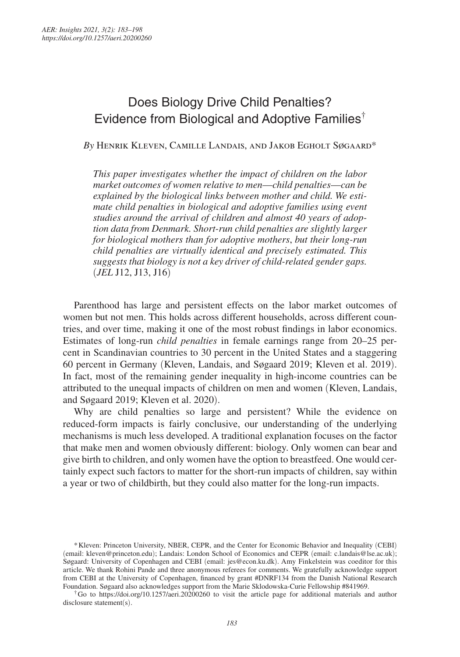# Does Biology Drive Child Penalties? Evidence from Biological and Adoptive Families†

*By* Henrik Kleven, Camille Landais, and Jakob Egholt Søgaard\*

*This paper investigates whether the impact of children on the labor market outcomes of women relative to men*—*child penalties*—*can be explained by the biological links between mother and child. We estimate child penalties in biological and adoptive families using event studies around the arrival of children and almost 40 years of adoption data from Denmark. Short-run child penalties are slightly larger for biological mothers than for adoptive mothers*, *but their long-run child penalties are virtually identical and precisely estimated. This suggests that biology is not a key driver of child-related gender gaps.*  (*JEL* J12, J13, J16)

Parenthood has large and persistent effects on the labor market outcomes of women but not men. This holds across different households, across different countries, and over time, making it one of the most robust findings in labor economics. Estimates of long-run *child penalties* in female earnings range from 20–25 percent in Scandinavian countries to 30 percent in the United States and a staggering 60 percent in Germany (Kleven, Landais, and Søgaard 2019; Kleven et al. 2019). In fact, most of the remaining gender inequality in high-income countries can be attributed to the unequal impacts of children on men and women (Kleven, Landais, and Søgaard 2019; Kleven et al. 2020).

Why are child penalties so large and persistent? While the evidence on reduced-form impacts is fairly conclusive, our understanding of the underlying mechanisms is much less developed. A traditional explanation focuses on the factor that make men and women obviously different: biology. Only women can bear and give birth to children, and only women have the option to breastfeed. One would certainly expect such factors to matter for the short-run impacts of children, say within a year or two of childbirth, but they could also matter for the long-run impacts.

<sup>\*</sup> Kleven: Princeton University, NBER, CEPR, and the Center for Economic Behavior and Inequality (CEBI) (email: kleven@princeton.edu); Landais: London School of Economics and CEPR (email: c.landais@lse.ac.uk); Søgaard: University of Copenhagen and CEBI (email: jes@econ.ku.dk). Amy Finkelstein was coeditor for this article. We thank Rohini Pande and three anonymous referees for comments. We gratefully acknowledge support from CEBI at the University of Copenhagen, financed by grant #DNRF134 from the Danish National Research Foundation. Søgaard also acknowledges support from the Marie Sklodowska-Curie Fellowship #841969.

<sup>†</sup> Go to https://doi.org/10.1257/aeri.20200260 to visit the article page for additional materials and author disclosure statement(s).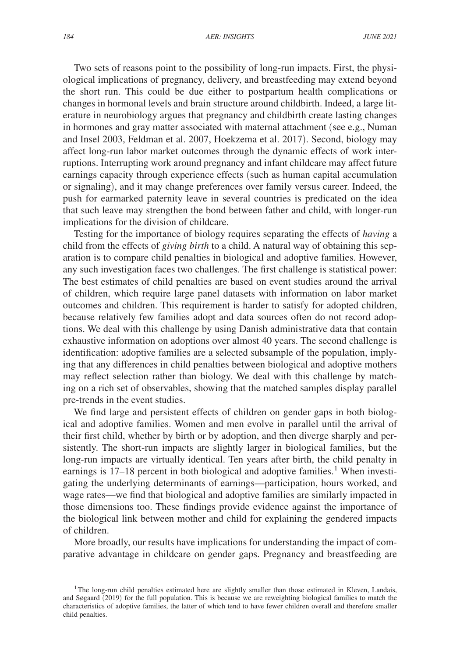Two sets of reasons point to the possibility of long-run impacts. First, the physiological implications of pregnancy, delivery, and breastfeeding may extend beyond the short run. This could be due either to postpartum health complications or changes in hormonal levels and brain structure around childbirth. Indeed, a large literature in neurobiology argues that pregnancy and childbirth create lasting changes in hormones and gray matter associated with maternal attachment (see e.g., Numan and Insel 2003, Feldman et al. 2007, Hoekzema et al. 2017). Second, biology may affect long-run labor market outcomes through the dynamic effects of work interruptions. Interrupting work around pregnancy and infant childcare may affect future earnings capacity through experience effects (such as human capital accumulation or signaling), and it may change preferences over family versus career. Indeed, the push for earmarked paternity leave in several countries is predicated on the idea that such leave may strengthen the bond between father and child, with longer-run implications for the division of childcare.

Testing for the importance of biology requires separating the effects of *having* a child from the effects of *giving birth* to a child. A natural way of obtaining this separation is to compare child penalties in biological and adoptive families. However, any such investigation faces two challenges. The first challenge is statistical power: The best estimates of child penalties are based on event studies around the arrival of children, which require large panel datasets with information on labor market outcomes and children. This requirement is harder to satisfy for adopted children, because relatively few families adopt and data sources often do not record adoptions. We deal with this challenge by using Danish administrative data that contain exhaustive information on adoptions over almost 40 years. The second challenge is identification: adoptive families are a selected subsample of the population, implying that any differences in child penalties between biological and adoptive mothers may reflect selection rather than biology. We deal with this challenge by matching on a rich set of observables, showing that the matched samples display parallel pre-trends in the event studies.

We find large and persistent effects of children on gender gaps in both biological and adoptive families. Women and men evolve in parallel until the arrival of their first child, whether by birth or by adoption, and then diverge sharply and persistently. The short-run impacts are slightly larger in biological families, but the long-run impacts are virtually identical. Ten years after birth, the child penalty in earnings is  $17-18$  percent in both biological and adoptive families.<sup>1</sup> When investigating the underlying determinants of earnings—participation, hours worked, and wage rates—we find that biological and adoptive families are similarly impacted in those dimensions too. These findings provide evidence against the importance of the biological link between mother and child for explaining the gendered impacts of children.

More broadly, our results have implications for understanding the impact of comparative advantage in childcare on gender gaps. Pregnancy and breastfeeding are

<sup>&</sup>lt;sup>1</sup>The long-run child penalties estimated here are slightly smaller than those estimated in Kleven, Landais, and Søgaard (2019) for the full population. This is because we are reweighting biological families to match the characteristics of adoptive families, the latter of which tend to have fewer children overall and therefore smaller child penalties.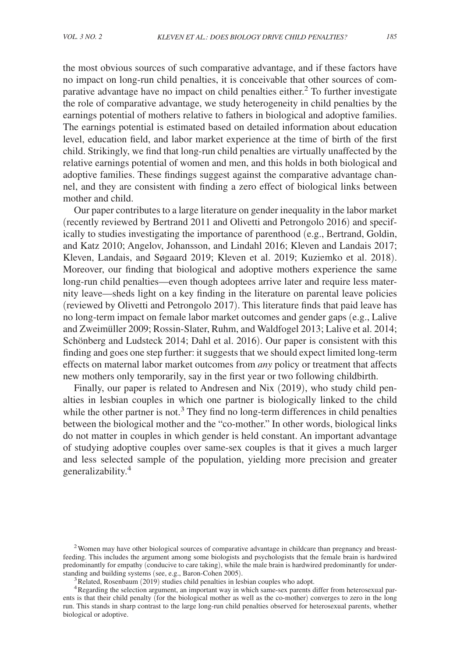the most obvious sources of such comparative advantage, and if these factors have no impact on long-run child penalties, it is conceivable that other sources of comparative advantage have no impact on child penalties either.<sup>2</sup> To further investigate the role of comparative advantage, we study heterogeneity in child penalties by the earnings potential of mothers relative to fathers in biological and adoptive families. The earnings potential is estimated based on detailed information about education level, education field, and labor market experience at the time of birth of the first child. Strikingly, we find that long-run child penalties are virtually unaffected by the relative earnings potential of women and men, and this holds in both biological and adoptive families. These findings suggest against the comparative advantage channel, and they are consistent with finding a zero effect of biological links between mother and child.

Our paper contributes to a large literature on gender inequality in the labor market (recently reviewed by Bertrand 2011 and Olivetti and Petrongolo 2016) and specifically to studies investigating the importance of parenthood (e.g., Bertrand, Goldin, and Katz 2010; Angelov, Johansson, and Lindahl 2016; Kleven and Landais 2017; Kleven, Landais, and Søgaard 2019; Kleven et al. 2019; Kuziemko et al. 2018). Moreover, our finding that biological and adoptive mothers experience the same long-run child penalties—even though adoptees arrive later and require less maternity leave—sheds light on a key finding in the literature on parental leave policies (reviewed by Olivetti and Petrongolo 2017). This literature finds that paid leave has no long-term impact on female labor market outcomes and gender gaps (e.g., Lalive and Zweimüller 2009; Rossin-Slater, Ruhm, and Waldfogel 2013; Lalive et al. 2014; Schönberg and Ludsteck 2014; Dahl et al. 2016). Our paper is consistent with this finding and goes one step further: it suggests that we should expect limited long-term effects on maternal labor market outcomes from *any* policy or treatment that affects new mothers only temporarily, say in the first year or two following childbirth.

Finally, our paper is related to Andresen and Nix (2019), who study child penalties in lesbian couples in which one partner is biologically linked to the child while the other partner is not.<sup>3</sup> They find no long-term differences in child penalties between the biological mother and the "co-mother." In other words, biological links do not matter in couples in which gender is held constant. An important advantage of studying adoptive couples over same-sex couples is that it gives a much larger and less selected sample of the population, yielding more precision and greater generalizability.<sup>4</sup>

<sup>&</sup>lt;sup>2</sup> Women may have other biological sources of comparative advantage in childcare than pregnancy and breastfeeding. This includes the argument among some biologists and psychologists that the female brain is hardwired predominantly for empathy (conducive to care taking), while the male brain is hardwired predominantly for understanding and building systems (see, e.g., Baron-Cohen 2005).

<sup>&</sup>lt;sup>3</sup>Related, Rosenbaum (2019) studies child penalties in lesbian couples who adopt.

<sup>&</sup>lt;sup>4</sup>Regarding the selection argument, an important way in which same-sex parents differ from heterosexual parents is that their child penalty (for the biological mother as well as the co-mother) converges to zero in the long run. This stands in sharp contrast to the large long-run child penalties observed for heterosexual parents, whether biological or adoptive.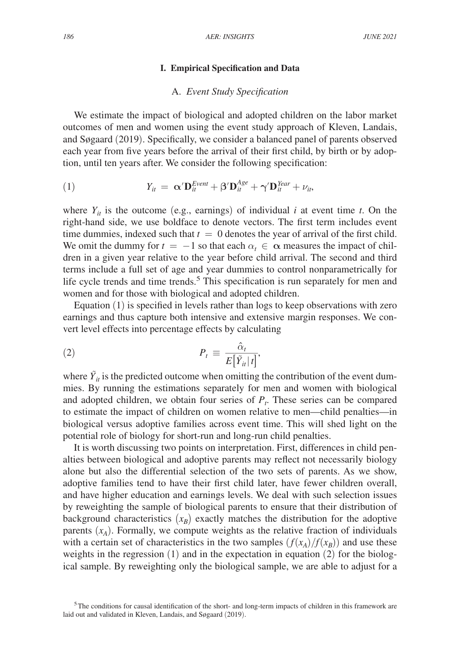#### **I. Empirical Specification and Data**

## A. *Event Study Specification*

We estimate the impact of biological and adopted children on the labor market outcomes of men and women using the event study approach of Kleven, Landais, and Søgaard (2019). Specifically, we consider a balanced panel of parents observed each year from five years before the arrival of their first child, by birth or by adoption, until ten years after. We consider the following specification:

(1) 
$$
Y_{it} = \alpha' \mathbf{D}_{it}^{Event} + \beta' \mathbf{D}_{it}^{Age} + \gamma' \mathbf{D}_{it}^{Year} + \nu_{it},
$$

where  $Y_{it}$  is the outcome (e.g., earnings) of individual *i* at event time *t*. On the right-hand side, we use boldface to denote vectors. The first term includes event time dummies, indexed such that  $t = 0$  denotes the year of arrival of the first child. We omit the dummy for  $t = -1$  so that each  $\alpha_t \in \alpha$  measures the impact of children in a given year relative to the year before child arrival. The second and third terms include a full set of age and year dummies to control nonparametrically for life cycle trends and time trends.<sup>5</sup> This specification is run separately for men and women and for those with biological and adopted children.

Equation (1) is specified in levels rather than logs to keep observations with zero earnings and thus capture both intensive and extensive margin responses. We con-<br>vert level effects into percentage effects by calculating<br>(2)  $P_t \equiv \frac{\hat{\alpha}_t}{E[\tilde{Y}_{it}|t]},$ vert level effects into percentage effects by calculating

$$
P_t \equiv \frac{\hat{\alpha}_t}{E[\tilde{Y}_{it}|t]},
$$

where  $\tilde{Y}_{it}$  is the predicted outcome when omitting the contribution of the event dummies. By running the estimations separately for men and women with biological and adopted children, we obtain four series of  $P_t$ . These series can be compared to estimate the impact of children on women relative to men—child penalties—in biological versus adoptive families across event time. This will shed light on the potential role of biology for short-run and long-run child penalties.

It is worth discussing two points on interpretation. First, differences in child penalties between biological and adoptive parents may reflect not necessarily biology alone but also the differential selection of the two sets of parents. As we show, adoptive families tend to have their first child later, have fewer children overall, and have higher education and earnings levels. We deal with such selection issues by reweighting the sample of biological parents to ensure that their distribution of background characteristics  $(x_B)$  exactly matches the distribution for the adoptive parents  $(x_A)$ . Formally, we compute weights as the relative fraction of individuals with a certain set of characteristics in the two samples  $(f(x_A)/f(x_B))$  and use these weights in the regression (1) and in the expectation in equation (2) for the biological sample. By reweighting only the biological sample, we are able to adjust for a

<sup>5</sup>The conditions for causal identification of the short- and long-term impacts of children in this framework are laid out and validated in Kleven, Landais, and Søgaard (2019).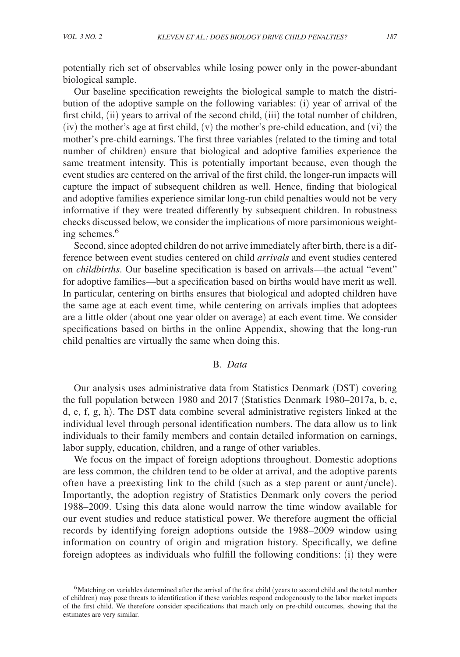potentially rich set of observables while losing power only in the power-abundant biological sample.

Our baseline specification reweights the biological sample to match the distribution of the adoptive sample on the following variables: (i) year of arrival of the first child, (ii) years to arrival of the second child, (iii) the total number of children, (iv) the mother's age at first child, (v) the mother's pre-child education, and (vi) the mother's pre-child earnings. The first three variables (related to the timing and total number of children) ensure that biological and adoptive families experience the same treatment intensity. This is potentially important because, even though the event studies are centered on the arrival of the first child, the longer-run impacts will capture the impact of subsequent children as well. Hence, finding that biological and adoptive families experience similar long-run child penalties would not be very informative if they were treated differently by subsequent children. In robustness checks discussed below, we consider the implications of more parsimonious weighting schemes.<sup>6</sup>

Second, since adopted children do not arrive immediately after birth, there is a difference between event studies centered on child *arrivals* and event studies centered on *childbirths*. Our baseline specification is based on arrivals—the actual "event" for adoptive families—but a specification based on births would have merit as well. In particular, centering on births ensures that biological and adopted children have the same age at each event time, while centering on arrivals implies that adoptees are a little older (about one year older on average) at each event time. We consider specifications based on births in the online Appendix, showing that the long-run child penalties are virtually the same when doing this.

# B. *Data*

Our analysis uses administrative data from Statistics Denmark (DST) covering the full population between 1980 and 2017 (Statistics Denmark 1980–2017a, b, c, d, e, f, g, h). The DST data combine several administrative registers linked at the individual level through personal identification numbers. The data allow us to link individuals to their family members and contain detailed information on earnings, labor supply, education, children, and a range of other variables.

We focus on the impact of foreign adoptions throughout. Domestic adoptions are less common, the children tend to be older at arrival, and the adoptive parents often have a preexisting link to the child (such as a step parent or aunt/uncle). Importantly, the adoption registry of Statistics Denmark only covers the period 1988–2009. Using this data alone would narrow the time window available for our event studies and reduce statistical power. We therefore augment the official records by identifying foreign adoptions outside the 1988–2009 window using information on country of origin and migration history. Specifically, we define foreign adoptees as individuals who fulfill the following conditions: (i) they were

<sup>6</sup>Matching on variables determined after the arrival of the first child (years to second child and the total number of children) may pose threats to identification if these variables respond endogenously to the labor market impacts of the first child. We therefore consider specifications that match only on pre-child outcomes, showing that the estimates are very similar.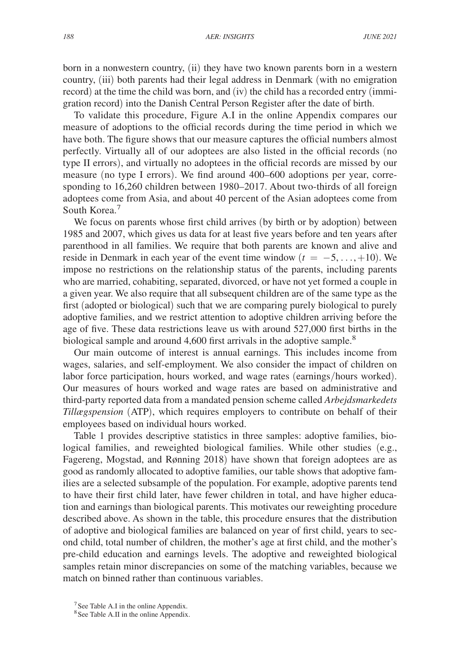born in a nonwestern country, (ii) they have two known parents born in a western country, (iii) both parents had their legal address in Denmark (with no emigration record) at the time the child was born, and (iv) the child has a recorded entry (immigration record) into the Danish Central Person Register after the date of birth.

To validate this procedure, Figure A.I in the online Appendix compares our measure of adoptions to the official records during the time period in which we have both. The figure shows that our measure captures the official numbers almost perfectly. Virtually all of our adoptees are also listed in the official records (no type II errors), and virtually no adoptees in the official records are missed by our measure (no type I errors). We find around 400–600 adoptions per year, corresponding to 16,260 children between 1980–2017. About two-thirds of all foreign adoptees come from Asia, and about 40 percent of the Asian adoptees come from South Korea.<sup>7</sup>

We focus on parents whose first child arrives (by birth or by adoption) between 1985 and 2007, which gives us data for at least five years before and ten years after parenthood in all families. We require that both parents are known and alive and reside in Denmark in each year of the event time window  $(t = -5, \ldots, +10)$ . We impose no restrictions on the relationship status of the parents, including parents who are married, cohabiting, separated, divorced, or have not yet formed a couple in a given year. We also require that all subsequent children are of the same type as the first (adopted or biological) such that we are comparing purely biological to purely adoptive families, and we restrict attention to adoptive children arriving before the age of five. These data restrictions leave us with around 527,000 first births in the biological sample and around 4,600 first arrivals in the adoptive sample.<sup>8</sup>

Our main outcome of interest is annual earnings. This includes income from wages, salaries, and self-employment. We also consider the impact of children on labor force participation, hours worked, and wage rates (earnings/hours worked). Our measures of hours worked and wage rates are based on administrative and third-party reported data from a mandated pension scheme called *Arbejdsmarkedets Tillægspension* (ATP), which requires employers to contribute on behalf of their employees based on individual hours worked.

Table 1 provides descriptive statistics in three samples: adoptive families, biological families, and reweighted biological families. While other studies (e.g., Fagereng, Mogstad, and Rønning 2018) have shown that foreign adoptees are as good as randomly allocated to adoptive families, our table shows that adoptive families are a selected subsample of the population. For example, adoptive parents tend to have their first child later, have fewer children in total, and have higher education and earnings than biological parents. This motivates our reweighting procedure described above. As shown in the table, this procedure ensures that the distribution of adoptive and biological families are balanced on year of first child, years to second child, total number of children, the mother's age at first child, and the mother's pre-child education and earnings levels. The adoptive and reweighted biological samples retain minor discrepancies on some of the matching variables, because we match on binned rather than continuous variables.

<sup>&</sup>lt;sup>7</sup>See Table A.I in the online Appendix.

<sup>&</sup>lt;sup>8</sup> See Table A.II in the online Appendix.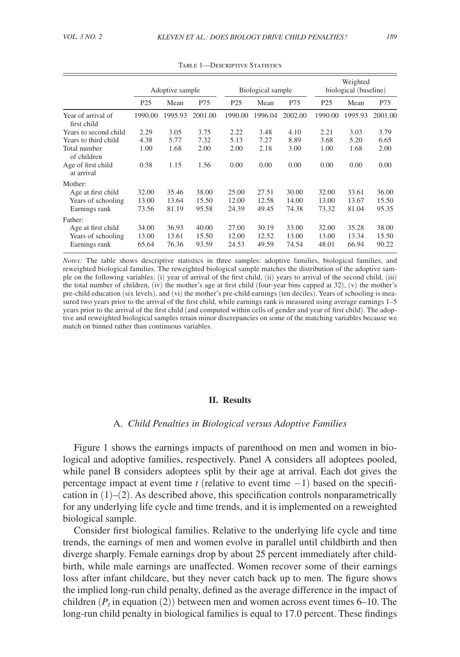|                                                           | Adoptive sample         |                         | Biological sample       |                         |                         | Weighted<br>biological (baseline) |                         |                         |                         |
|-----------------------------------------------------------|-------------------------|-------------------------|-------------------------|-------------------------|-------------------------|-----------------------------------|-------------------------|-------------------------|-------------------------|
|                                                           | P <sub>25</sub>         | Mean                    | P75                     | P <sub>25</sub>         | Mean                    | P75                               | P <sub>25</sub>         | Mean                    | P75                     |
| Year of arrival of<br>first child                         | 1990.00                 | 1995.93                 | 2001.00                 | 1990.00                 | 1996.04                 | 2002.00                           | 1990.00                 | 1995.93                 | 2001.00                 |
| Years to second child                                     | 2.29                    | 3.05                    | 3.75                    | 2.22                    | 3.48                    | 4.10                              | 2.21                    | 3.03                    | 3.79                    |
| Years to third child                                      | 4.38                    | 5.77                    | 7.32                    | 5.13                    | 7.27                    | 8.89                              | 3.68                    | 5.20                    | 6.65                    |
| Total number<br>of children                               | 1.00                    | 1.68                    | 2.00                    | 2.00                    | 2.18                    | 3.00                              | 1.00                    | 1.68                    | 2.00                    |
| Age of first child<br>at arrival                          | 0.38                    | 1.15                    | 1.56                    | 0.00                    | 0.00                    | 0.00                              | 0.00                    | 0.00                    | 0.00                    |
| Mother:                                                   |                         |                         |                         |                         |                         |                                   |                         |                         |                         |
| Age at first child                                        | 32.00                   | 35.46                   | 38.00                   | 25.00                   | 27.51                   | 30.00                             | 32.00                   | 33.61                   | 36.00                   |
| Years of schooling                                        | 13.00                   | 13.64                   | 15.50                   | 12.00                   | 12.58                   | 14.00                             | 13.00                   | 13.67                   | 15.50                   |
| Earnings rank                                             | 73.56                   | 81.19                   | 95.58                   | 24.39                   | 49.45                   | 74.38                             | 73.32                   | 81.04                   | 95.35                   |
| Father:                                                   |                         |                         |                         |                         |                         |                                   |                         |                         |                         |
| Age at first child<br>Years of schooling<br>Earnings rank | 34.00<br>13.00<br>65.64 | 36.93<br>13.61<br>76.36 | 40.00<br>15.50<br>93.59 | 27.00<br>12.00<br>24.53 | 30.19<br>12.52<br>49.59 | 33.00<br>13.00<br>74.54           | 32.00<br>13.00<br>48.01 | 35.28<br>13.34<br>66.94 | 38.00<br>15.50<br>90.22 |

Table 1—Descriptive Statistics

*Notes:* The table shows descriptive statistics in three samples: adoptive families, biological families, and reweighted biological families. The reweighted biological sample matches the distribution of the adoptive sample on the following variables: (i) year of arrival of the first child, (ii) years to arrival of the second child, (iii) the total number of children, (iv) the mother's age at first child (four-year bins capped at 32), (v) the mother's pre-child education (six levels), and (vi) the mother's pre-child earnings (ten deciles). Years of schooling is measured two years prior to the arrival of the first child, while earnings rank is measured using average earnings  $1-5$ years prior to the arrival of the first child (and computed within cells of gender and year of first child). The adoptive and reweighted biological samples retain minor discrepancies on some of the matching variables because we match on binned rather than continuous variables.

#### **II. Results**

### A. *Child Penalties in Biological versus Adoptive Families*

Figure 1 shows the earnings impacts of parenthood on men and women in biological and adoptive families, respectively. Panel A considers all adoptees pooled, while panel B considers adoptees split by their age at arrival. Each dot gives the percentage impact at event time *t* (relative to event time −1) based on the specification in  $(1)$ – $(2)$ . As described above, this specification controls nonparametrically for any underlying life cycle and time trends, and it is implemented on a reweighted biological sample.

Consider first biological families. Relative to the underlying life cycle and time trends, the earnings of men and women evolve in parallel until childbirth and then diverge sharply. Female earnings drop by about 25 percent immediately after childbirth, while male earnings are unaffected. Women recover some of their earnings loss after infant childcare, but they never catch back up to men. The figure shows the implied long-run child penalty, defined as the average difference in the impact of children  $(P_t$  in equation (2)) between men and women across event times 6–10. The long-run child penalty in biological families is equal to 17.0 percent. These findings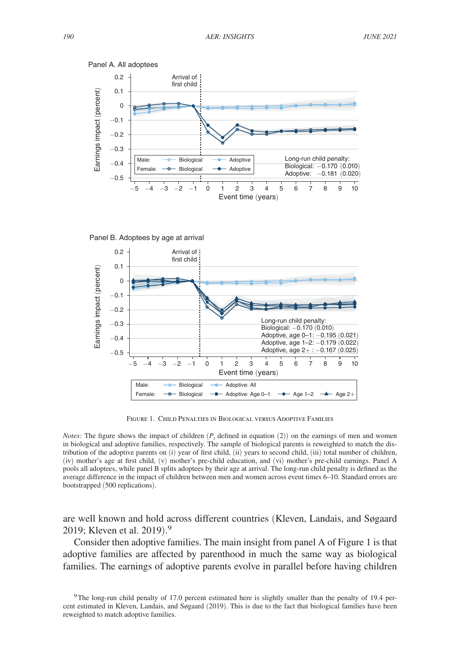





Figure 1. Child Penalties in Biological versus Adoptive Families

*Notes:* The figure shows the impact of children  $(P_t$  defined in equation  $(2)$ ) on the earnings of men and women in biological and adoptive families, respectively. The sample of biological parents is reweighted to match the distribution of the adoptive parents on (i) year of first child, (ii) years to second child, (iii) total number of children, (iv) mother's age at first child, (v) mother's pre-child education, and (vi) mother's pre-child earnings. Panel A pools all adoptees, while panel B splits adoptees by their age at arrival. The long-run child penalty is defined as the average difference in the impact of children between men and women across event times 6–10. Standard errors are bootstrapped (500 replications).

are well known and hold across different countries (Kleven, Landais, and Søgaard 2019; Kleven et al. 2019).<sup>9</sup>

Consider then adoptive families. The main insight from panel A of Figure 1 is that adoptive families are affected by parenthood in much the same way as biological families. The earnings of adoptive parents evolve in parallel before having children

<sup>&</sup>lt;sup>9</sup>The long-run child penalty of 17.0 percent estimated here is slightly smaller than the penalty of 19.4 percent estimated in Kleven, Landais, and Søgaard (2019). This is due to the fact that biological families have been reweighted to match adoptive families.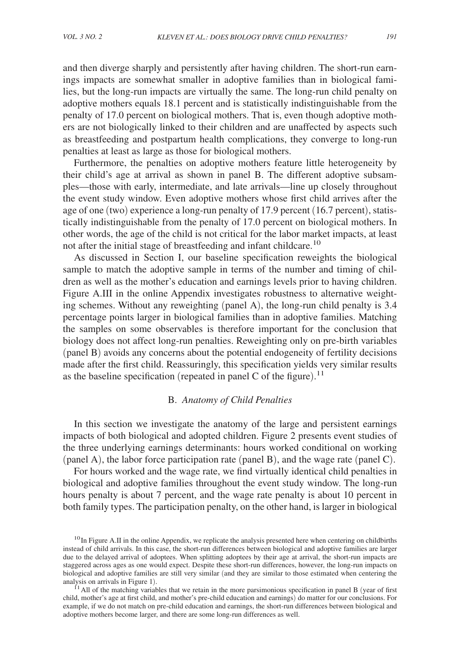and then diverge sharply and persistently after having children. The short-run earnings impacts are somewhat smaller in adoptive families than in biological families, but the long-run impacts are virtually the same. The long-run child penalty on adoptive mothers equals 18.1 percent and is statistically indistinguishable from the penalty of 17.0 percent on biological mothers. That is, even though adoptive mothers are not biologically linked to their children and are unaffected by aspects such as breastfeeding and postpartum health complications, they converge to long-run penalties at least as large as those for biological mothers.

Furthermore, the penalties on adoptive mothers feature little heterogeneity by their child's age at arrival as shown in panel B. The different adoptive subsamples—those with early, intermediate, and late arrivals—line up closely throughout the event study window. Even adoptive mothers whose first child arrives after the age of one (two) experience a long-run penalty of 17.9 percent (16.7 percent), statistically indistinguishable from the penalty of 17.0 percent on biological mothers. In other words, the age of the child is not critical for the labor market impacts, at least not after the initial stage of breastfeeding and infant childcare.<sup>10</sup>

As discussed in Section I, our baseline specification reweights the biological sample to match the adoptive sample in terms of the number and timing of children as well as the mother's education and earnings levels prior to having children. Figure A.III in the online Appendix investigates robustness to alternative weighting schemes. Without any reweighting (panel A), the long-run child penalty is 3.4 percentage points larger in biological families than in adoptive families. Matching the samples on some observables is therefore important for the conclusion that biology does not affect long-run penalties. Reweighting only on pre-birth variables (panel B) avoids any concerns about the potential endogeneity of fertility decisions made after the first child. Reassuringly, this specification yields very similar results as the baseline specification (repeated in panel C of the figure).<sup>11</sup>

## B. *Anatomy of Child Penalties*

In this section we investigate the anatomy of the large and persistent earnings impacts of both biological and adopted children. Figure 2 presents event studies of the three underlying earnings determinants: hours worked conditional on working (panel A), the labor force participation rate (panel B), and the wage rate (panel C).

For hours worked and the wage rate, we find virtually identical child penalties in biological and adoptive families throughout the event study window. The long-run hours penalty is about 7 percent, and the wage rate penalty is about 10 percent in both family types. The participation penalty, on the other hand, is larger in biological

 $10$ In Figure A.II in the online Appendix, we replicate the analysis presented here when centering on childbirths instead of child arrivals. In this case, the short-run differences between biological and adoptive families are larger due to the delayed arrival of adoptees. When splitting adoptees by their age at arrival, the short-run impacts are staggered across ages as one would expect. Despite these short-run differences, however, the long-run impacts on biological and adoptive families are still very similar (and they are similar to those estimated when centering the analysis on arrivals in Figure 1).

 $11$  All of the matching variables that we retain in the more parsimonious specification in panel B (year of first child, mother's age at first child, and mother's pre-child education and earnings) do matter for our conclusions. For example, if we do not match on pre-child education and earnings, the short-run differences between biological and adoptive mothers become larger, and there are some long-run differences as well.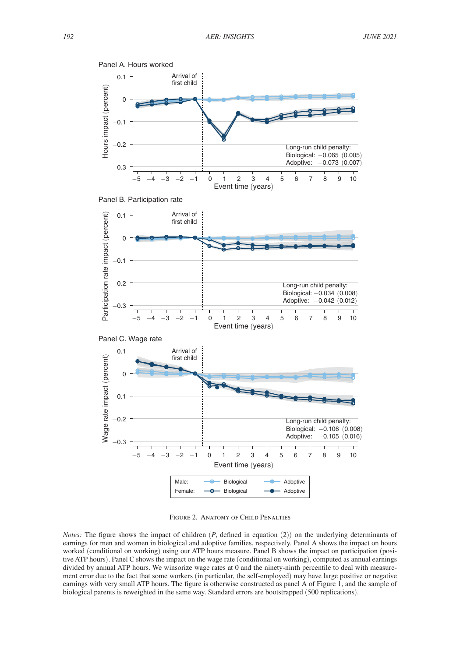





Figure 2. Anatomy of Child Penalties

*Notes:* The figure shows the impact of children  $(P_t$  defined in equation (2)) on the underlying determinants of earnings for men and women in biological and adoptive families, respectively. Panel A shows the impact on hours worked (conditional on working) using our ATP hours measure. Panel B shows the impact on participation (positive ATP hours). Panel C shows the impact on the wage rate (conditional on working), computed as annual earnings divided by annual ATP hours. We winsorize wage rates at 0 and the ninety-ninth percentile to deal with measurement error due to the fact that some workers (in particular, the self-employed) may have large positive or negative earnings with very small ATP hours. The figure is otherwise constructed as panel A of Figure 1, and the sample of biological parents is reweighted in the same way. Standard errors are bootstrapped (500 replications).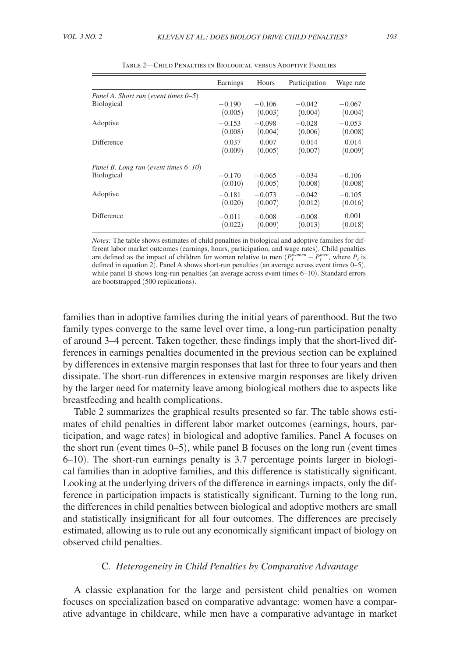|                                         | Earnings | Hours    | Participation | Wage rate |
|-----------------------------------------|----------|----------|---------------|-----------|
| Panel A. Short run (event times $0-5$ ) |          |          |               |           |
| <b>Biological</b>                       | $-0.190$ | $-0.106$ | $-0.042$      | $-0.067$  |
|                                         | (0.005)  | (0.003)  | (0.004)       | (0.004)   |
| Adoptive                                | $-0.153$ | $-0.098$ | $-0.028$      | $-0.053$  |
|                                         | (0.008)  | (0.004)  | (0.006)       | (0.008)   |
| Difference                              | 0.037    | 0.007    | 0.014         | 0.014     |
|                                         | (0.009)  | (0.005)  | (0.007)       | (0.009)   |
| Panel B. Long run (event times 6-10)    |          |          |               |           |
| <b>Biological</b>                       | $-0.170$ | $-0.065$ | $-0.034$      | $-0.106$  |
|                                         | (0.010)  | (0.005)  | (0.008)       | (0.008)   |
| Adoptive                                | $-0.181$ | $-0.073$ | $-0.042$      | $-0.105$  |
|                                         | (0.020)  | (0.007)  | (0.012)       | (0.016)   |
| Difference                              | $-0.011$ | $-0.008$ | $-0.008$      | 0.001     |
|                                         | (0.022)  | (0.009)  | (0.013)       | (0.018)   |

Table 2—Child Penalties in Biological versus Adoptive Families

*Notes:* The table shows estimates of child penalties in biological and adoptive families for different labor market outcomes (earnings, hours, participation, and wage rates). Child penalties are defined as the impact of children for women relative to men  $(P_t^{women} - P_t^{men})$ , where  $P_t$  is defined in equation 2). Panel A shows short-run penalties (an average across event times 0–5), while panel B shows long-run penalties (an average across event times  $6-10$ ). Standard errors are bootstrapped (500 replications).

families than in adoptive families during the initial years of parenthood. But the two family types converge to the same level over time, a long-run participation penalty of around 3–4 percent. Taken together, these findings imply that the short-lived differences in earnings penalties documented in the previous section can be explained by differences in extensive margin responses that last for three to four years and then dissipate. The short-run differences in extensive margin responses are likely driven by the larger need for maternity leave among biological mothers due to aspects like breastfeeding and health complications.

Table 2 summarizes the graphical results presented so far. The table shows estimates of child penalties in different labor market outcomes (earnings, hours, participation, and wage rates) in biological and adoptive families. Panel A focuses on the short run (event times 0–5), while panel B focuses on the long run (event times 6–10). The short-run earnings penalty is 3.7 percentage points larger in biological families than in adoptive families, and this difference is statistically significant. Looking at the underlying drivers of the difference in earnings impacts, only the difference in participation impacts is statistically significant. Turning to the long run, the differences in child penalties between biological and adoptive mothers are small and statistically insignificant for all four outcomes. The differences are precisely estimated, allowing us to rule out any economically significant impact of biology on observed child penalties.

### C. *Heterogeneity in Child Penalties by Comparative Advantage*

A classic explanation for the large and persistent child penalties on women focuses on specialization based on comparative advantage: women have a comparative advantage in childcare, while men have a comparative advantage in market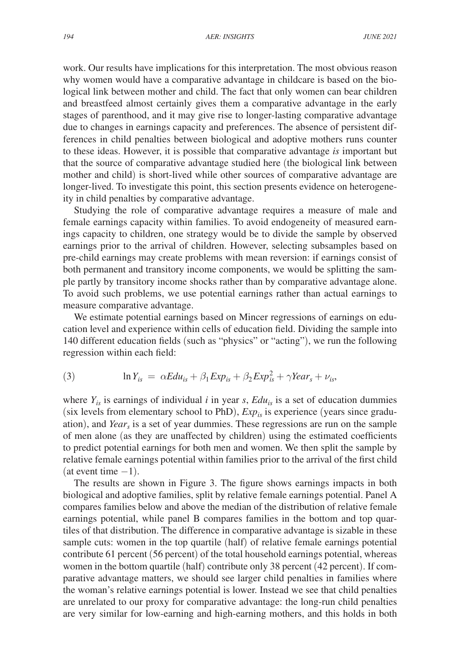work. Our results have implications for this interpretation. The most obvious reason why women would have a comparative advantage in childcare is based on the biological link between mother and child. The fact that only women can bear children and breastfeed almost certainly gives them a comparative advantage in the early stages of parenthood, and it may give rise to longer-lasting comparative advantage due to changes in earnings capacity and preferences. The absence of persistent differences in child penalties between biological and adoptive mothers runs counter to these ideas. However, it is possible that comparative advantage *is* important but that the source of comparative advantage studied here (the biological link between mother and child) is short-lived while other sources of comparative advantage are longer-lived. To investigate this point, this section presents evidence on heterogeneity in child penalties by comparative advantage.

Studying the role of comparative advantage requires a measure of male and female earnings capacity within families. To avoid endogeneity of measured earnings capacity to children, one strategy would be to divide the sample by observed earnings prior to the arrival of children. However, selecting subsamples based on pre-child earnings may create problems with mean reversion: if earnings consist of both permanent and transitory income components, we would be splitting the sample partly by transitory income shocks rather than by comparative advantage alone. To avoid such problems, we use potential earnings rather than actual earnings to measure comparative advantage.

We estimate potential earnings based on Mincer regressions of earnings on education level and experience within cells of education field. Dividing the sample into 140 different education fields (such as "physics" or "acting"), we run the following regression within each field:

(3) 
$$
\ln Y_{is} = \alpha E du_{is} + \beta_1 Exp_{is} + \beta_2 Exp_{is}^2 + \gamma Year_s + \nu_{is},
$$

where  $Y_{i_S}$  is earnings of individual *i* in year *s*,  $Edu_{i_S}$  is a set of education dummies (six levels from elementary school to PhD), *Expis* is experience (years since graduation), and *Year<sup>s</sup>* is a set of year dummies. These regressions are run on the sample of men alone (as they are unaffected by children) using the estimated coefficients to predict potential earnings for both men and women. We then split the sample by relative female earnings potential within families prior to the arrival of the first child (at event time  $-1$ ).

The results are shown in Figure 3. The figure shows earnings impacts in both biological and adoptive families, split by relative female earnings potential. Panel A compares families below and above the median of the distribution of relative female earnings potential, while panel B compares families in the bottom and top quartiles of that distribution. The difference in comparative advantage is sizable in these sample cuts: women in the top quartile (half) of relative female earnings potential contribute 61 percent (56 percent) of the total household earnings potential, whereas women in the bottom quartile (half) contribute only 38 percent (42 percent). If comparative advantage matters, we should see larger child penalties in families where the woman's relative earnings potential is lower. Instead we see that child penalties are unrelated to our proxy for comparative advantage: the long-run child penalties are very similar for low-earning and high-earning mothers, and this holds in both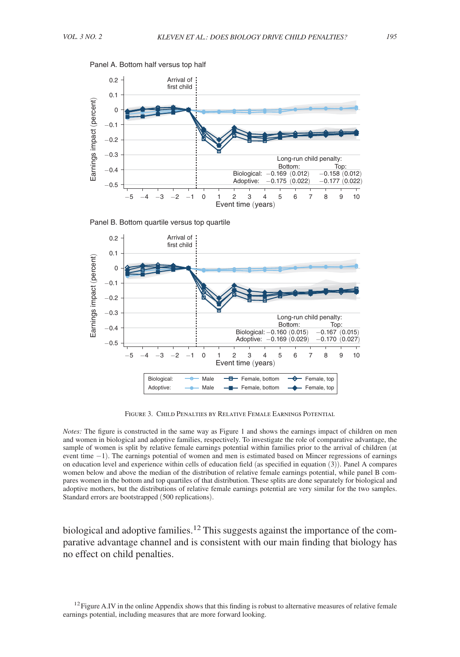







Figure 3. Child Penalties by Relative Female Earnings Potential

*Notes:* The figure is constructed in the same way as Figure 1 and shows the earnings impact of children on men and women in biological and adoptive families, respectively. To investigate the role of comparative advantage, the sample of women is split by relative female earnings potential within families prior to the arrival of children (at event time −1). The earnings potential of women and men is estimated based on Mincer regressions of earnings on education level and experience within cells of education field (as specified in equation (3)). Panel A compares women below and above the median of the distribution of relative female earnings potential, while panel B compares women in the bottom and top quartiles of that distribution. These splits are done separately for biological and adoptive mothers, but the distributions of relative female earnings potential are very similar for the two samples. Standard errors are bootstrapped (500 replications).

biological and adoptive families.<sup>12</sup> This suggests against the importance of the comparative advantage channel and is consistent with our main finding that biology has no effect on child penalties.

 $12$  Figure A.IV in the online Appendix shows that this finding is robust to alternative measures of relative female earnings potential, including measures that are more forward looking.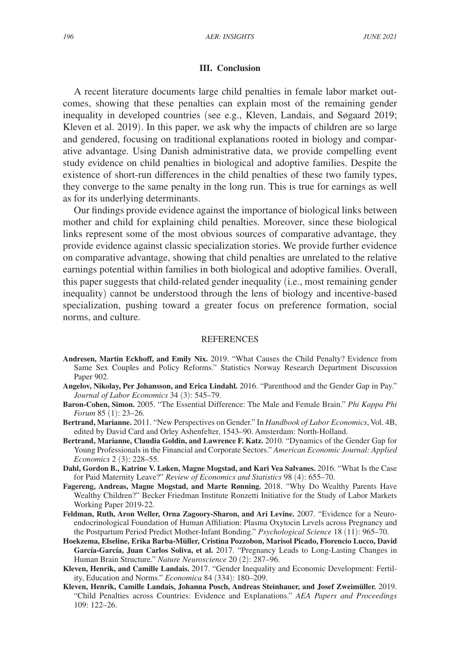### **III. Conclusion**

A recent literature documents large child penalties in female labor market outcomes, showing that these penalties can explain most of the remaining gender inequality in developed countries (see e.g., Kleven, Landais, and Søgaard 2019; Kleven et al. 2019). In this paper, we ask why the impacts of children are so large and gendered, focusing on traditional explanations rooted in biology and comparative advantage. Using Danish administrative data, we provide compelling event study evidence on child penalties in biological and adoptive families. Despite the existence of short-run differences in the child penalties of these two family types, they converge to the same penalty in the long run. This is true for earnings as well as for its underlying determinants.

Our findings provide evidence against the importance of biological links between mother and child for explaining child penalties. Moreover, since these biological links represent some of the most obvious sources of comparative advantage, they provide evidence against classic specialization stories. We provide further evidence on comparative advantage, showing that child penalties are unrelated to the relative earnings potential within families in both biological and adoptive families. Overall, this paper suggests that child-related gender inequality (i.e., most remaining gender inequality) cannot be understood through the lens of biology and incentive-based specialization, pushing toward a greater focus on preference formation, social norms, and culture.

#### REFERENCES

- **Andresen, Martin Eckhoff, and Emily Nix.** 2019. "What Causes the Child Penalty? Evidence from Same Sex Couples and Policy Reforms." Statistics Norway Research Department Discussion Paper 902.
- **Angelov, Nikolay, Per Johansson, and Erica Lindahl.** 2016. "Parenthood and the Gender Gap in Pay." *Journal of Labor Economics* 34 (3): 545–79.
- **Baron-Cohen, Simon.** 2005. "The Essential Difference: The Male and Female Brain." *Phi Kappa Phi Forum* 85 (1): 23–26.
- **Bertrand, Marianne.** 2011. "New Perspectives on Gender." In *Handbook of Labor Economics*, Vol. 4B, edited by David Card and Orley Ashenfelter, 1543–90. Amsterdam: North-Holland.
- **Bertrand, Marianne, Claudia Goldin, and Lawrence F. Katz.** 2010. "Dynamics of the Gender Gap for Young Professionals in the Financial and Corporate Sectors." *American Economic Journal: Applied Economics* 2 (3): 228–55.
- **Dahl, Gordon B., Katrine V. Løken, Magne Mogstad, and Kari Vea Salvanes.** 2016. "What Is the Case for Paid Maternity Leave?" *Review of Economics and Statistics* 98 (4): 655–70.
- **Fagereng, Andreas, Magne Mogstad, and Marte Rønning.** 2018. "Why Do Wealthy Parents Have Wealthy Children?" Becker Friedman Institute Ronzetti Initiative for the Study of Labor Markets Working Paper 2019-22.
- **Feldman, Ruth, Aron Weller, Orna Zagoory-Sharon, and Ari Levine.** 2007. "Evidence for a Neuroendocrinological Foundation of Human Affiliation: Plasma Oxytocin Levels across Pregnancy and the Postpartum Period Predict Mother-Infant Bonding." *Psychological Science* 18 (11): 965–70.
- **Hoekzema, Elseline, Erika Barba-Müller, Cristina Pozzobon, Marisol Picado, Florencio Lucco, David García-García, Juan Carlos Soliva, et al.** 2017. "Pregnancy Leads to Long-Lasting Changes in Human Brain Structure." *Nature Neuroscience* 20 (2): 287–96.
- **Kleven, Henrik, and Camille Landais.** 2017. "Gender Inequality and Economic Development: Fertility, Education and Norms." *Economica* 84 (334): 180–209.
- **Kleven, Henrik, Camille Landais, Johanna Posch, Andreas Steinhauer, and Josef Zweimüller.** 2019. "Child Penalties across Countries: Evidence and Explanations." *AEA Papers and Proceedings* 109: 122–26.